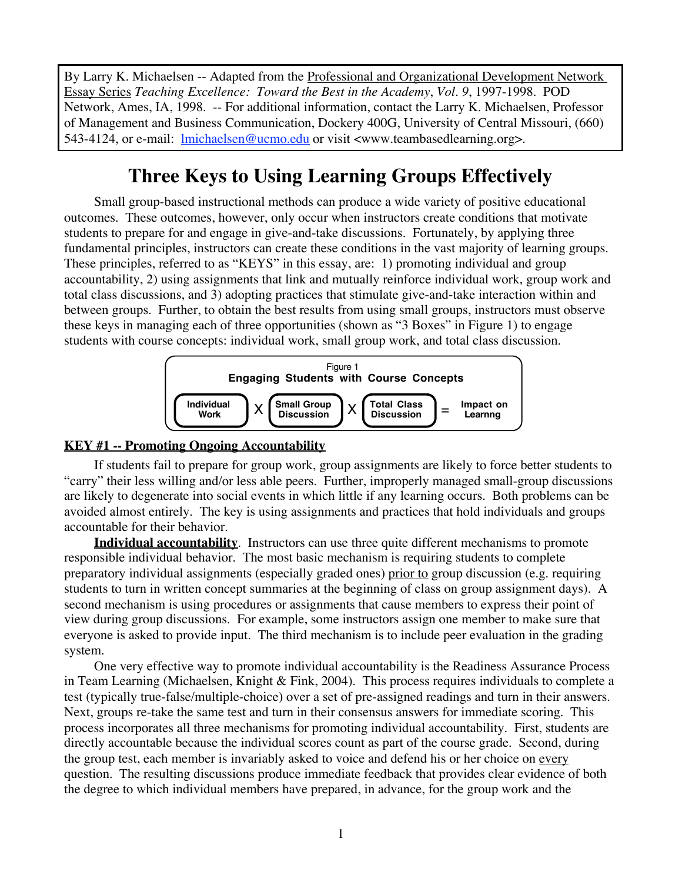By Larry K. Michaelsen -- Adapted from the Professional and Organizational Development Network Essay Series *Teaching Excellence: Toward the Best in the Academy*, *Vol. 9*, 1997-1998. POD Network, Ames, IA, 1998. -- For additional information, contact the Larry K. Michaelsen, Professor of Management and Business Communication, Dockery 400G, University of Central Missouri, (660) 543-4124, or e-mail: lmichaelsen@ucmo.edu or visit <www.teambasedlearning.org>.

## **Three Keys to Using Learning Groups Effectively**

Small group-based instructional methods can produce a wide variety of positive educational outcomes. These outcomes, however, only occur when instructors create conditions that motivate students to prepare for and engage in give-and-take discussions. Fortunately, by applying three fundamental principles, instructors can create these conditions in the vast majority of learning groups. These principles, referred to as "KEYS" in this essay, are: 1) promoting individual and group accountability, 2) using assignments that link and mutually reinforce individual work, group work and total class discussions, and 3) adopting practices that stimulate give-and-take interaction within and between groups. Further, to obtain the best results from using small groups, instructors must observe these keys in managing each of three opportunities (shown as "3 Boxes" in Figure 1) to engage students with course concepts: individual work, small group work, and total class discussion.



### **KEY #1 -- Promoting Ongoing Accountability**

If students fail to prepare for group work, group assignments are likely to force better students to "carry" their less willing and/or less able peers. Further, improperly managed small-group discussions are likely to degenerate into social events in which little if any learning occurs. Both problems can be avoided almost entirely. The key is using assignments and practices that hold individuals and groups accountable for their behavior.

**Individual accountability**. Instructors can use three quite different mechanisms to promote responsible individual behavior. The most basic mechanism is requiring students to complete preparatory individual assignments (especially graded ones) prior to group discussion (e.g. requiring students to turn in written concept summaries at the beginning of class on group assignment days). A second mechanism is using procedures or assignments that cause members to express their point of view during group discussions. For example, some instructors assign one member to make sure that everyone is asked to provide input. The third mechanism is to include peer evaluation in the grading system.

One very effective way to promote individual accountability is the Readiness Assurance Process in Team Learning (Michaelsen, Knight & Fink, 2004). This process requires individuals to complete a test (typically true-false/multiple-choice) over a set of pre-assigned readings and turn in their answers. Next, groups re-take the same test and turn in their consensus answers for immediate scoring. This process incorporates all three mechanisms for promoting individual accountability. First, students are directly accountable because the individual scores count as part of the course grade. Second, during the group test, each member is invariably asked to voice and defend his or her choice on every question. The resulting discussions produce immediate feedback that provides clear evidence of both the degree to which individual members have prepared, in advance, for the group work and the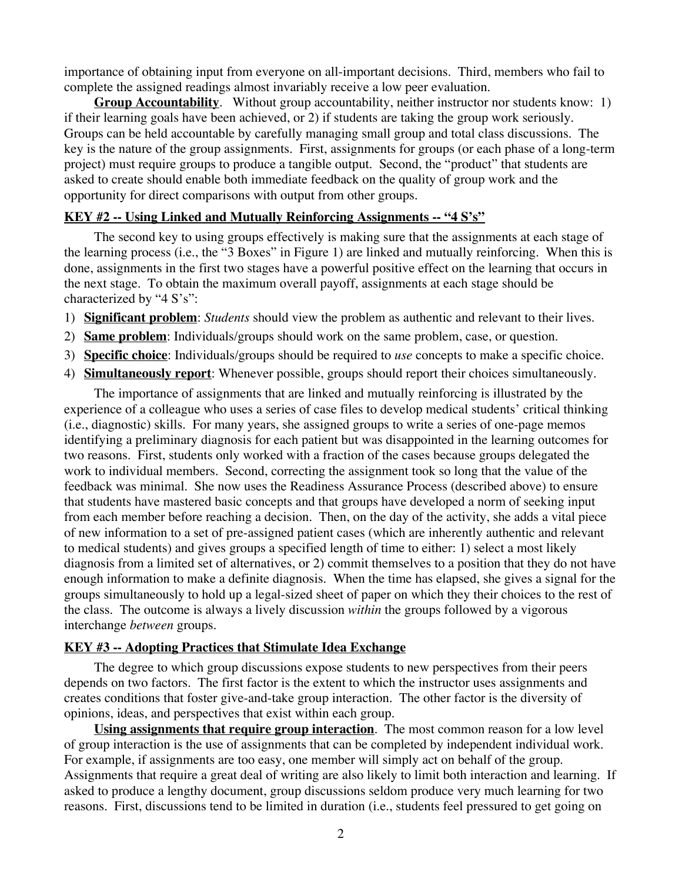importance of obtaining input from everyone on all-important decisions. Third, members who fail to complete the assigned readings almost invariably receive a low peer evaluation.

**Group Accountability.** Without group accountability, neither instructor nor students know: 1) if their learning goals have been achieved, or 2) if students are taking the group work seriously. Groups can be held accountable by carefully managing small group and total class discussions. The key is the nature of the group assignments. First, assignments for groups (or each phase of a long-term project) must require groups to produce a tangible output. Second, the "product" that students are asked to create should enable both immediate feedback on the quality of group work and the opportunity for direct comparisons with output from other groups.

#### **KEY #2 -- Using Linked and Mutually Reinforcing Assignments -- "4 S's"**

The second key to using groups effectively is making sure that the assignments at each stage of the learning process (i.e., the "3 Boxes" in Figure 1) are linked and mutually reinforcing. When this is done, assignments in the first two stages have a powerful positive effect on the learning that occurs in the next stage. To obtain the maximum overall payoff, assignments at each stage should be characterized by "4 S's":

- 1) **Significant problem**: *Students* should view the problem as authentic and relevant to their lives.
- 2) **Same problem**: Individuals/groups should work on the same problem, case, or question.
- 3) **Specific choice**: Individuals/groups should be required to *use* concepts to make a specific choice.
- 4) **Simultaneously report**: Whenever possible, groups should report their choices simultaneously.

The importance of assignments that are linked and mutually reinforcing is illustrated by the experience of a colleague who uses a series of case files to develop medical students' critical thinking (i.e., diagnostic) skills. For many years, she assigned groups to write a series of one-page memos identifying a preliminary diagnosis for each patient but was disappointed in the learning outcomes for two reasons. First, students only worked with a fraction of the cases because groups delegated the work to individual members. Second, correcting the assignment took so long that the value of the feedback was minimal. She now uses the Readiness Assurance Process (described above) to ensure that students have mastered basic concepts and that groups have developed a norm of seeking input from each member before reaching a decision. Then, on the day of the activity, she adds a vital piece of new information to a set of pre-assigned patient cases (which are inherently authentic and relevant to medical students) and gives groups a specified length of time to either: 1) select a most likely diagnosis from a limited set of alternatives, or 2) commit themselves to a position that they do not have enough information to make a definite diagnosis. When the time has elapsed, she gives a signal for the groups simultaneously to hold up a legal-sized sheet of paper on which they their choices to the rest of the class. The outcome is always a lively discussion *within* the groups followed by a vigorous interchange *between* groups.

#### **KEY #3 -- Adopting Practices that Stimulate Idea Exchange**

The degree to which group discussions expose students to new perspectives from their peers depends on two factors. The first factor is the extent to which the instructor uses assignments and creates conditions that foster give-and-take group interaction. The other factor is the diversity of opinions, ideas, and perspectives that exist within each group.

**Using assignments that require group interaction**. The most common reason for a low level of group interaction is the use of assignments that can be completed by independent individual work. For example, if assignments are too easy, one member will simply act on behalf of the group. Assignments that require a great deal of writing are also likely to limit both interaction and learning. If asked to produce a lengthy document, group discussions seldom produce very much learning for two reasons. First, discussions tend to be limited in duration (i.e., students feel pressured to get going on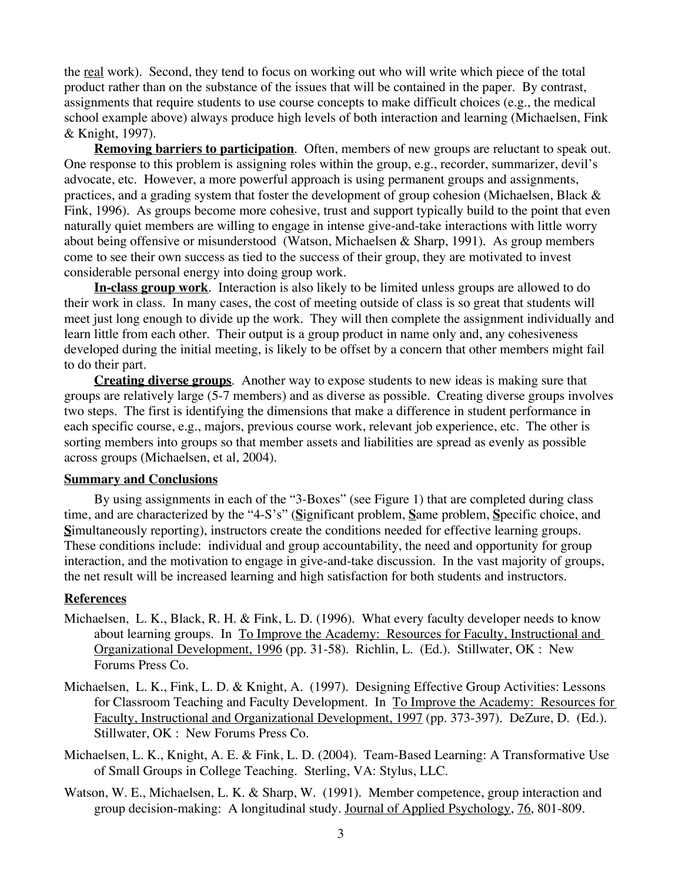the real work). Second, they tend to focus on working out who will write which piece of the total product rather than on the substance of the issues that will be contained in the paper. By contrast, assignments that require students to use course concepts to make difficult choices (e.g., the medical school example above) always produce high levels of both interaction and learning (Michaelsen, Fink & Knight, 1997).

**Removing barriers to participation**. Often, members of new groups are reluctant to speak out. One response to this problem is assigning roles within the group, e.g., recorder, summarizer, devil's advocate, etc. However, a more powerful approach is using permanent groups and assignments, practices, and a grading system that foster the development of group cohesion (Michaelsen, Black & Fink, 1996). As groups become more cohesive, trust and support typically build to the point that even naturally quiet members are willing to engage in intense give-and-take interactions with little worry about being offensive or misunderstood (Watson, Michaelsen & Sharp, 1991). As group members come to see their own success as tied to the success of their group, they are motivated to invest considerable personal energy into doing group work.

**In-class group work**. Interaction is also likely to be limited unless groups are allowed to do their work in class. In many cases, the cost of meeting outside of class is so great that students will meet just long enough to divide up the work. They will then complete the assignment individually and learn little from each other. Their output is a group product in name only and, any cohesiveness developed during the initial meeting, is likely to be offset by a concern that other members might fail to do their part.

**Creating diverse groups**. Another way to expose students to new ideas is making sure that groups are relatively large (5-7 members) and as diverse as possible. Creating diverse groups involves two steps. The first is identifying the dimensions that make a difference in student performance in each specific course, e.g., majors, previous course work, relevant job experience, etc. The other is sorting members into groups so that member assets and liabilities are spread as evenly as possible across groups (Michaelsen, et al, 2004).

#### **Summary and Conclusions**

By using assignments in each of the "3-Boxes" (see Figure 1) that are completed during class time, and are characterized by the "4-S's" (**S**ignificant problem, **S**ame problem, **S**pecific choice, and **S**imultaneously reporting), instructors create the conditions needed for effective learning groups. These conditions include: individual and group accountability, the need and opportunity for group interaction, and the motivation to engage in give-and-take discussion. In the vast majority of groups, the net result will be increased learning and high satisfaction for both students and instructors.

#### **References**

- Michaelsen, L. K., Black, R. H. & Fink, L. D. (1996). What every faculty developer needs to know about learning groups. In To Improve the Academy: Resources for Faculty, Instructional and Organizational Development, 1996 (pp. 31-58). Richlin, L. (Ed.). Stillwater, OK : New Forums Press Co.
- Michaelsen, L. K., Fink, L. D. & Knight, A. (1997). Designing Effective Group Activities: Lessons for Classroom Teaching and Faculty Development. In To Improve the Academy: Resources for Faculty, Instructional and Organizational Development, 1997 (pp. 373-397). DeZure, D. (Ed.). Stillwater, OK : New Forums Press Co.
- Michaelsen, L. K., Knight, A. E. & Fink, L. D. (2004). Team-Based Learning: A Transformative Use of Small Groups in College Teaching. Sterling, VA: Stylus, LLC.
- Watson, W. E., Michaelsen, L. K. & Sharp, W. (1991). Member competence, group interaction and group decision-making: A longitudinal study. Journal of Applied Psychology, 76, 801-809.